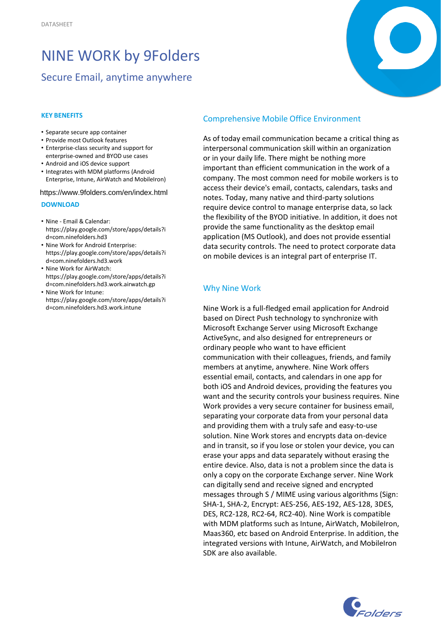# NINE WORK by 9Folders

## Secure Email, anytime anywhere

#### **KEY BENEFITS**

- Separate secure app container
- Provide most Outlook features
- Enterprise-class security and support for enterprise-owned and BYOD use cases
- Android and iOS device support
- Integrates with MDM platforms (Android Enterprise, Intune, AirWatch and MobileIron)

https://www.9folders.com/en/index.html

#### **DOWNLOAD**

- Nine Email & Calendar: https://play.google.com/store/apps/details?i d=com.ninefolders.hd3
- Nine Work for Android Enterprise: https://play.google.com/store/apps/details?i d=com.ninefolders.hd3.work
- Nine Work for AirWatch: https://play.google.com/store/apps/details?i d=com.ninefolders.hd3.work.airwatch.gp
- Nine Work for Intune: https://play.google.com/store/apps/details?i d=com.ninefolders.hd3.work.intune

## Comprehensive Mobile Office Environment

As of today email communication became a critical thing as interpersonal communication skill within an organization or in your daily life. There might be nothing more important than efficient communication in the work of a company. The most common need for mobile workers is to access their device's email, contacts, calendars, tasks and notes. Today, many native and third-party solutions require device control to manage enterprise data, so lack the flexibility of the BYOD initiative. In addition, it does not provide the same functionality as the desktop email application (MS Outlook), and does not provide essential data security controls. The need to protect corporate data on mobile devices is an integral part of enterprise IT.

## Why Nine Work

Nine Work is a full-fledged email application for Android based on Direct Push technology to synchronize with Microsoft Exchange Server using Microsoft Exchange ActiveSync, and also designed for entrepreneurs or ordinary people who want to have efficient communication with their colleagues, friends, and family members at anytime, anywhere. Nine Work offers essential email, contacts, and calendars in one app for both iOS and Android devices, providing the features you want and the security controls your business requires. Nine Work provides a very secure container for business email, separating your corporate data from your personal data and providing them with a truly safe and easy-to-use solution. Nine Work stores and encrypts data on-device and in transit, so if you lose or stolen your device, you can erase your apps and data separately without erasing the entire device. Also, data is not a problem since the data is only a copy on the corporate Exchange server. Nine Work can digitally send and receive signed and encrypted messages through S / MIME using various algorithms (Sign: SHA-1, SHA-2, Encrypt: AES-256, AES-192, AES-128, 3DES, DES, RC2-128, RC2-64, RC2-40). Nine Work is compatible with MDM platforms such as Intune, AirWatch, MobileIron, Maas360, etc based on Android Enterprise. In addition, the integrated versions with Intune, AirWatch, and MobileIron SDK are also available.